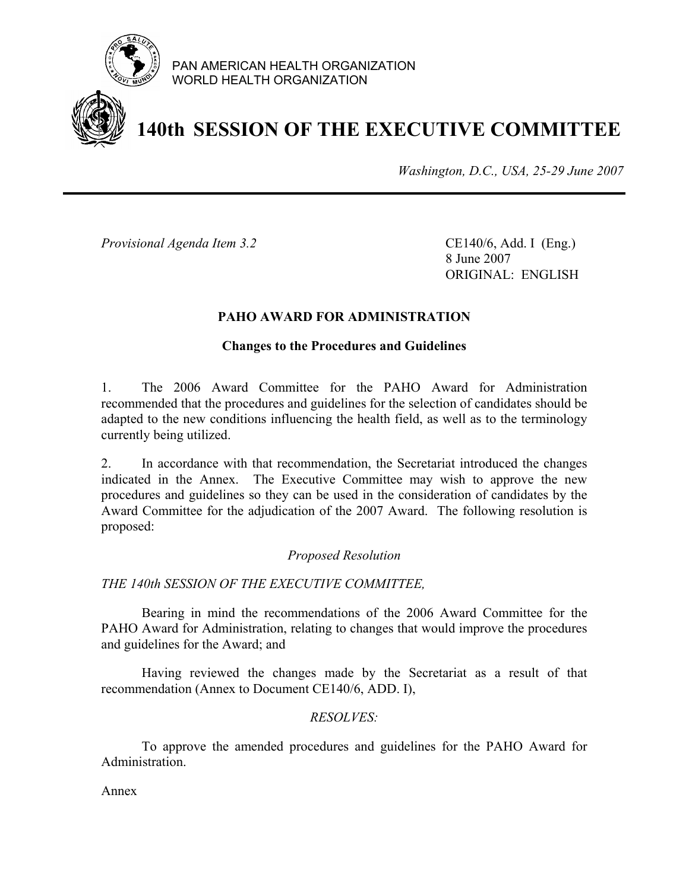

PAN AMERICAN HEALTH ORGANIZATION WORLD HEALTH ORGANIZATION

### **140th SESSION OF THE EXECUTIVE COMMITTEE**

*Washington, D.C., USA, 25-29 June 2007*

*Provisional Agenda Item 3.2* CE140/6, Add. I (Eng.)

 8 June 2007 ORIGINAL: ENGLISH

### **PAHO AWARD FOR ADMINISTRATION**

#### **Changes to the Procedures and Guidelines**

1. The 2006 Award Committee for the PAHO Award for Administration recommended that the procedures and guidelines for the selection of candidates should be adapted to the new conditions influencing the health field, as well as to the terminology currently being utilized.

2. In accordance with that recommendation, the Secretariat introduced the changes indicated in the Annex. The Executive Committee may wish to approve the new procedures and guidelines so they can be used in the consideration of candidates by the Award Committee for the adjudication of the 2007 Award. The following resolution is proposed:

### *Proposed Resolution*

*THE 140th SESSION OF THE EXECUTIVE COMMITTEE,* 

 Bearing in mind the recommendations of the 2006 Award Committee for the PAHO Award for Administration, relating to changes that would improve the procedures and guidelines for the Award; and

 Having reviewed the changes made by the Secretariat as a result of that recommendation (Annex to Document CE140/6, ADD. I),

### *RESOLVES:*

To approve the amended procedures and guidelines for the PAHO Award for Administration.

Annex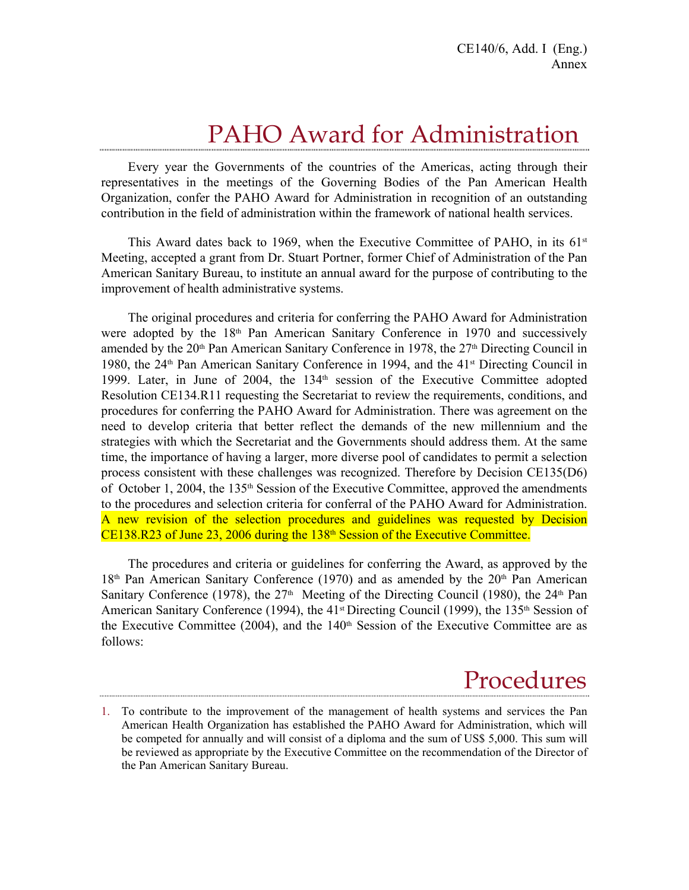## PAHO Award for Administration

Every year the Governments of the countries of the Americas, acting through their representatives in the meetings of the Governing Bodies of the Pan American Health Organization, confer the PAHO Award for Administration in recognition of an outstanding contribution in the field of administration within the framework of national health services.

This Award dates back to 1969, when the Executive Committee of PAHO, in its  $61<sup>st</sup>$ Meeting, accepted a grant from Dr. Stuart Portner, former Chief of Administration of the Pan American Sanitary Bureau, to institute an annual award for the purpose of contributing to the improvement of health administrative systems.

The original procedures and criteria for conferring the PAHO Award for Administration were adopted by the 18<sup>th</sup> Pan American Sanitary Conference in 1970 and successively amended by the 20<sup>th</sup> Pan American Sanitary Conference in 1978, the 27<sup>th</sup> Directing Council in 1980, the 24<sup>th</sup> Pan American Sanitary Conference in 1994, and the 41<sup>st</sup> Directing Council in 1999. Later, in June of 2004, the 134<sup>th</sup> session of the Executive Committee adopted Resolution CE134.R11 requesting the Secretariat to review the requirements, conditions, and procedures for conferring the PAHO Award for Administration. There was agreement on the need to develop criteria that better reflect the demands of the new millennium and the strategies with which the Secretariat and the Governments should address them. At the same time, the importance of having a larger, more diverse pool of candidates to permit a selection process consistent with these challenges was recognized. Therefore by Decision CE135(D6) of October 1, 2004, the 135th Session of the Executive Committee, approved the amendments to the procedures and selection criteria for conferral of the PAHO Award for Administration. A new revision of the selection procedures and guidelines was requested by Decision  $CE138.R23$  of June 23, 2006 during the  $138<sup>th</sup>$  Session of the Executive Committee.

The procedures and criteria or guidelines for conferring the Award, as approved by the  $18<sup>th</sup>$  Pan American Sanitary Conference (1970) and as amended by the  $20<sup>th</sup>$  Pan American Sanitary Conference (1978), the  $27<sup>th</sup>$  Meeting of the Directing Council (1980), the  $24<sup>th</sup>$  Pan American Sanitary Conference (1994), the 41<sup>st</sup> Directing Council (1999), the 135<sup>th</sup> Session of the Executive Committee  $(2004)$ , and the 140<sup>th</sup> Session of the Executive Committee are as follows:

## Procedures

<sup>1.</sup> To contribute to the improvement of the management of health systems and services the Pan American Health Organization has established the PAHO Award for Administration, which will be competed for annually and will consist of a diploma and the sum of US\$ 5,000. This sum will be reviewed as appropriate by the Executive Committee on the recommendation of the Director of the Pan American Sanitary Bureau.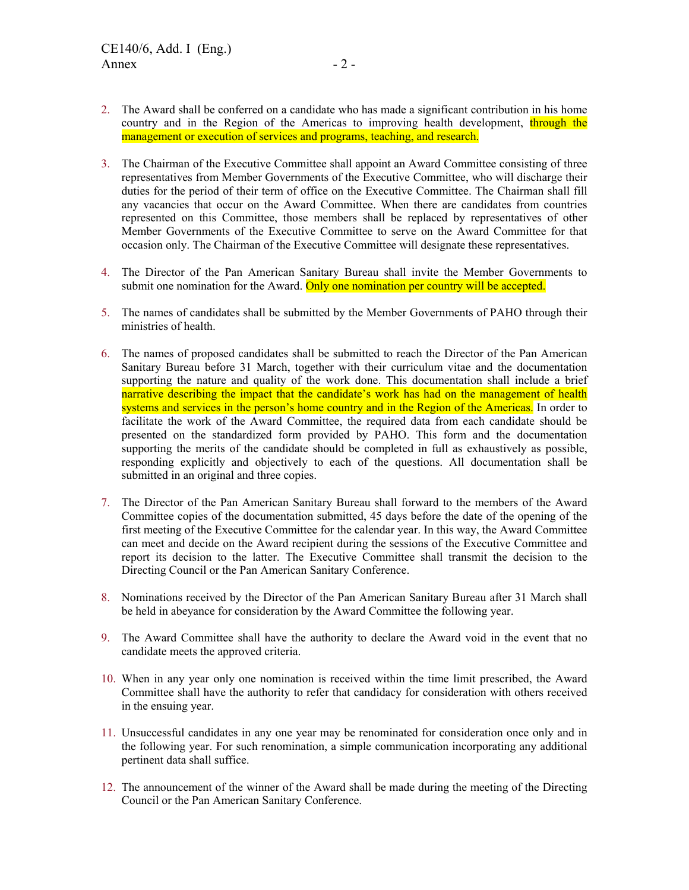- 2. The Award shall be conferred on a candidate who has made a significant contribution in his home country and in the Region of the Americas to improving health development, through the management or execution of services and programs, teaching, and research.
- 3. The Chairman of the Executive Committee shall appoint an Award Committee consisting of three representatives from Member Governments of the Executive Committee, who will discharge their duties for the period of their term of office on the Executive Committee. The Chairman shall fill any vacancies that occur on the Award Committee. When there are candidates from countries represented on this Committee, those members shall be replaced by representatives of other Member Governments of the Executive Committee to serve on the Award Committee for that occasion only. The Chairman of the Executive Committee will designate these representatives.
- 4. The Director of the Pan American Sanitary Bureau shall invite the Member Governments to submit one nomination for the Award. Only one nomination per country will be accepted.
- 5. The names of candidates shall be submitted by the Member Governments of PAHO through their ministries of health.
- 6. The names of proposed candidates shall be submitted to reach the Director of the Pan American Sanitary Bureau before 31 March, together with their curriculum vitae and the documentation supporting the nature and quality of the work done. This documentation shall include a brief narrative describing the impact that the candidate's work has had on the management of health systems and services in the person's home country and in the Region of the Americas. In order to facilitate the work of the Award Committee, the required data from each candidate should be presented on the standardized form provided by PAHO. This form and the documentation supporting the merits of the candidate should be completed in full as exhaustively as possible, responding explicitly and objectively to each of the questions. All documentation shall be submitted in an original and three copies.
- 7. The Director of the Pan American Sanitary Bureau shall forward to the members of the Award Committee copies of the documentation submitted, 45 days before the date of the opening of the first meeting of the Executive Committee for the calendar year. In this way, the Award Committee can meet and decide on the Award recipient during the sessions of the Executive Committee and report its decision to the latter. The Executive Committee shall transmit the decision to the Directing Council or the Pan American Sanitary Conference.
- 8. Nominations received by the Director of the Pan American Sanitary Bureau after 31 March shall be held in abeyance for consideration by the Award Committee the following year.
- 9. The Award Committee shall have the authority to declare the Award void in the event that no candidate meets the approved criteria.
- 10. When in any year only one nomination is received within the time limit prescribed, the Award Committee shall have the authority to refer that candidacy for consideration with others received in the ensuing year.
- 11. Unsuccessful candidates in any one year may be renominated for consideration once only and in the following year. For such renomination, a simple communication incorporating any additional pertinent data shall suffice.
- 12. The announcement of the winner of the Award shall be made during the meeting of the Directing Council or the Pan American Sanitary Conference.